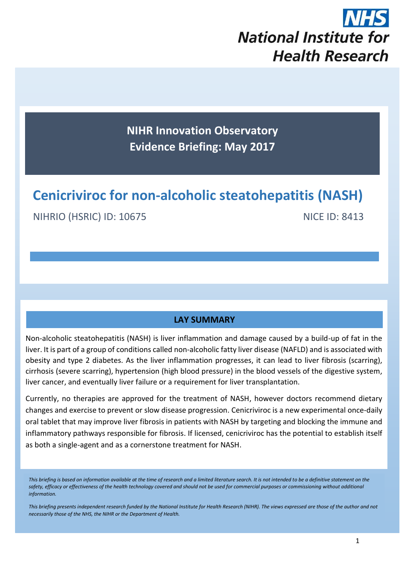

**NIHR Innovation Observatory Evidence Briefing: May 2017**

# **Cenicriviroc for non-alcoholic steatohepatitis (NASH)**

NIHRIO (HSRIC) ID: 10675 NICE ID: 8413

#### **LAY SUMMARY**

Non-alcoholic steatohepatitis (NASH) is liver inflammation and damage caused by a build-up of fat in the liver. It is part of a group of conditions called non-alcoholic fatty liver disease (NAFLD) and is associated with obesity and type 2 diabetes. As the liver inflammation progresses, it can lead to liver fibrosis (scarring), cirrhosis (severe scarring), hypertension (high blood pressure) in the blood vessels of the digestive system, liver cancer, and eventually liver failure or a requirement for liver transplantation.

Currently, no therapies are approved for the treatment of NASH, however doctors recommend dietary changes and exercise to prevent or slow disease progression. Cenicriviroc is a new experimental once-daily oral tablet that may improve liver fibrosis in patients with NASH by targeting and blocking the immune and inflammatory pathways responsible for fibrosis. If licensed, cenicriviroc has the potential to establish itself as both a single-agent and as a cornerstone treatment for NASH.

*This briefing presents independent research funded by the National Institute for Health Research (NIHR). The views expressed are those of the author and not necessarily those of the NHS, the NIHR or the Department of Health.*

*This briefing is based on information available at the time of research and a limited literature search. It is not intended to be a definitive statement on the*  safety, efficacy or effectiveness of the health technology covered and should not be used for commercial purposes or commissioning without additional *information.*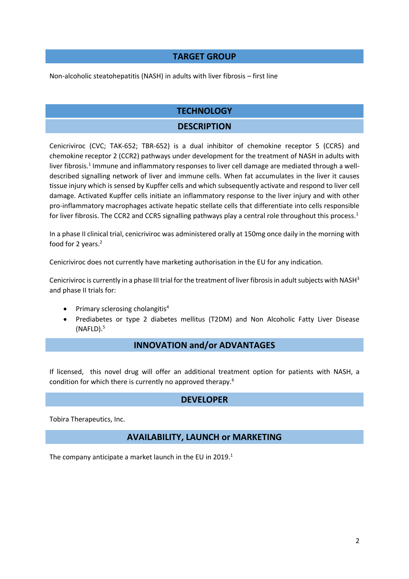# **TARGET GROUP**

Non-alcoholic steatohepatitis (NASH) in adults with liver fibrosis – first line

# **TECHNOLOGY**

# **DESCRIPTION**

Cenicriviroc (CVC; TAK-652; TBR-652) is a dual inhibitor of chemokine receptor 5 (CCR5) and chemokine receptor 2 (CCR2) pathways under development for the treatment of NASH in adults with liver fibrosis.<sup>1</sup> Immune and inflammatory responses to liver cell damage are mediated through a welldescribed signalling network of liver and immune cells. When fat accumulates in the liver it causes tissue injury which is sensed by Kupffer cells and which subsequently activate and respond to liver cell damage. Activated Kupffer cells initiate an inflammatory response to the liver injury and with other pro-inflammatory macrophages activate hepatic stellate cells that differentiate into cells responsible for liver fibrosis. The CCR2 and CCR5 signalling pathways play a central role throughout this process.<sup>1</sup>

In a phase II clinical trial, cenicriviroc was administered orally at 150mg once daily in the morning with food for 2 years. 2

Cenicriviroc does not currently have marketing authorisation in the EU for any indication.

Cenicriviroc is currently in a phase III trial for the treatment of liver fibrosis in adult subjects with NASH<sup>3</sup> and phase II trials for:

- Primary sclerosing cholangitis<sup>4</sup>
- Prediabetes or type 2 diabetes mellitus (T2DM) and Non Alcoholic Fatty Liver Disease (NAFLD). 5

# **INNOVATION and/or ADVANTAGES**

If licensed, this novel drug will offer an additional treatment option for patients with NASH, a condition for which there is currently no approved therapy.<sup>6</sup>

# **DEVELOPER**

Tobira Therapeutics, Inc.

# **AVAILABILITY, LAUNCH or MARKETING**

The company anticipate a market launch in the EU in 2019.<sup>1</sup>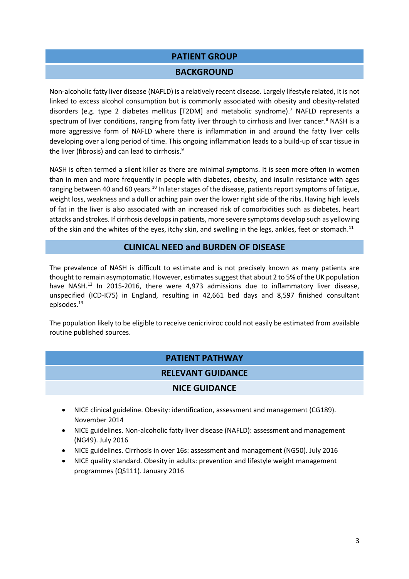# **PATIENT GROUP**

#### **BACKGROUND**

Non-alcoholic fatty liver disease (NAFLD) is a relatively recent disease. Largely lifestyle related, it is not linked to excess alcohol consumption but is commonly associated with obesity and obesity-related disorders (e.g. type 2 diabetes mellitus [T2DM] and metabolic syndrome). <sup>7</sup> NAFLD represents a spectrum of liver conditions, ranging from fatty liver through to cirrhosis and liver cancer.<sup>8</sup> NASH is a more aggressive form of NAFLD where there is inflammation in and around the fatty liver cells developing over a long period of time. This ongoing inflammation leads to a build-up of scar tissue in the liver (fibrosis) and can lead to cirrhosis.<sup>9</sup>

NASH is often termed a silent killer as there are minimal symptoms. It is seen more often in women than in men and more frequently in people with diabetes, obesity, and insulin resistance with ages ranging between 40 and 60 years.<sup>10</sup> In later stages of the disease, patients report symptoms of fatigue, weight loss, weakness and a dull or aching pain over the lower right side of the ribs. Having high levels of fat in the liver is also associated with an increased risk of comorbidities such as diabetes, heart attacks and strokes. If cirrhosis developsin patients, more severe symptoms develop such as yellowing of the skin and the whites of the eyes, itchy skin, and swelling in the legs, ankles, feet or stomach.<sup>11</sup>

# **CLINICAL NEED and BURDEN OF DISEASE**

The prevalence of NASH is difficult to estimate and is not precisely known as many patients are thought to remain asymptomatic. However, estimates suggest that about 2 to 5% of the UK population have NASH.<sup>12</sup> In 2015-2016, there were 4,973 admissions due to inflammatory liver disease, unspecified (ICD-K75) in England, resulting in 42,661 bed days and 8,597 finished consultant episodes. 13

The population likely to be eligible to receive cenicriviroc could not easily be estimated from available routine published sources.

# **PATIENT PATHWAY**

#### **RELEVANT GUIDANCE**

#### **NICE GUIDANCE**

- NICE clinical guideline. Obesity: identification, assessment and management (CG189). November 2014
- NICE guidelines. Non-alcoholic fatty liver disease (NAFLD): assessment and management (NG49). July 2016
- NICE guidelines. Cirrhosis in over 16s: assessment and management (NG50). July 2016
- NICE quality standard. Obesity in adults: prevention and lifestyle weight management programmes (QS111). January 2016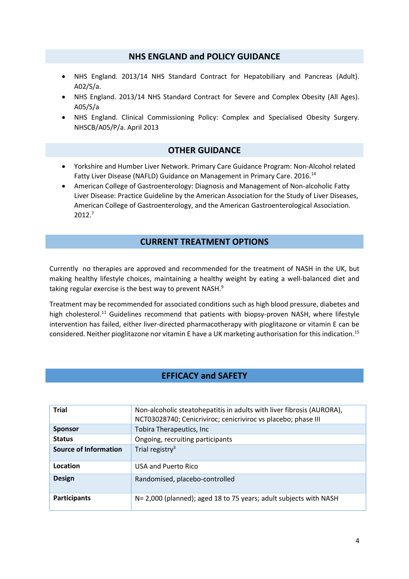#### **NHS ENGLAND and POLICY GUIDANCE**

- NHS England. 2013/14 NHS Standard Contract for Hepatobiliary and Pancreas (Adult). A02/S/a.
- NHS England. 2013/14 NHS Standard Contract for Severe and Complex Obesity (All Ages). A05/S/a
- NHS England. Clinical Commissioning Policy: Complex and Specialised Obesity Surgery. NHSCB/A05/P/a. April 2013

#### **OTHER GUIDANCE**

- Yorkshire and Humber Liver Network. Primary Care Guidance Program: Non-Alcohol related Fatty Liver Disease (NAFLD) Guidance on Management in Primary Care. 2016.<sup>14</sup>
- American College of Gastroenterology: Diagnosis and Management of Non-alcoholic Fatty Liver Disease: Practice Guideline by the American Association for the Study of Liver Diseases, American College of Gastroenterology, and the American Gastroenterological Association. 2012.<sup>7</sup>

# **CURRENT TREATMENT OPTIONS**

Currently no therapies are approved and recommended for the treatment of NASH in the UK, but making healthy lifestyle choices, maintaining a healthy weight by eating a well-balanced diet and taking regular exercise is the best way to prevent NASH.<sup>9</sup>

Treatment may be recommended for associated conditions such as high blood pressure, diabetes and high cholesterol.<sup>11</sup> Guidelines recommend that patients with biopsy-proven NASH, where lifestyle intervention has failed, either liver-directed pharmacotherapy with pioglitazone or vitamin E can be considered. Neither pioglitazone nor vitamin E have a UK marketing authorisation for this indication. 15

# **EFFICACY and SAFETY**

| <b>Trial</b>                 | Non-alcoholic steatohepatitis in adults with liver fibrosis (AURORA),<br>NCT03028740; Cenicriviroc; cenicriviroc vs placebo; phase III |  |
|------------------------------|----------------------------------------------------------------------------------------------------------------------------------------|--|
| <b>Sponsor</b>               | Tobira Therapeutics, Inc.                                                                                                              |  |
| <b>Status</b>                | Ongoing, recruiting participants                                                                                                       |  |
| <b>Source of Information</b> | Trial registry <sup>3</sup>                                                                                                            |  |
| Location                     | USA and Puerto Rico                                                                                                                    |  |
| <b>Design</b>                | Randomised, placebo-controlled                                                                                                         |  |
| <b>Participants</b>          | N= 2,000 (planned); aged 18 to 75 years; adult subjects with NASH                                                                      |  |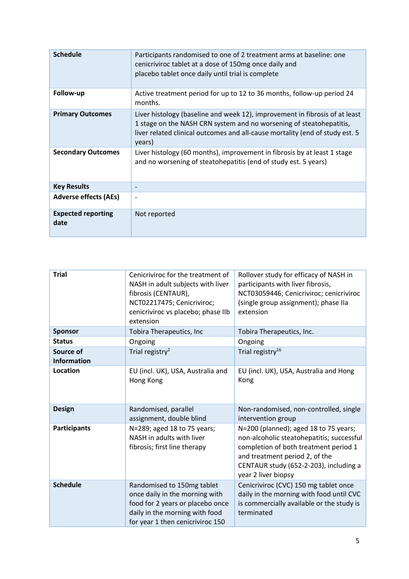| <b>Schedule</b>                   | Participants randomised to one of 2 treatment arms at baseline: one<br>cenicriviroc tablet at a dose of 150mg once daily and<br>placebo tablet once daily until trial is complete                                                            |
|-----------------------------------|----------------------------------------------------------------------------------------------------------------------------------------------------------------------------------------------------------------------------------------------|
| Follow-up                         | Active treatment period for up to 12 to 36 months, follow-up period 24<br>months.                                                                                                                                                            |
| <b>Primary Outcomes</b>           | Liver histology (baseline and week 12), improvement in fibrosis of at least<br>1 stage on the NASH CRN system and no worsening of steatohepatitis,<br>liver related clinical outcomes and all-cause mortality (end of study est. 5<br>years) |
| <b>Secondary Outcomes</b>         | Liver histology (60 months), improvement in fibrosis by at least 1 stage<br>and no worsening of steatohepatitis (end of study est. 5 years)                                                                                                  |
| <b>Key Results</b>                | $\qquad \qquad \blacksquare$                                                                                                                                                                                                                 |
| <b>Adverse effects (AEs)</b>      | $\overline{\phantom{a}}$                                                                                                                                                                                                                     |
| <b>Expected reporting</b><br>date | Not reported                                                                                                                                                                                                                                 |

| <b>Trial</b>                    | Cenicriviroc for the treatment of<br>NASH in adult subjects with liver<br>fibrosis (CENTAUR),<br>NCT02217475; Cenicriviroc;<br>cenicriviroc vs placebo; phase IIb<br>extension | Rollover study for efficacy of NASH in<br>participants with liver fibrosis,<br>NCT03059446; Cenicriviroc; cenicriviroc<br>(single group assignment); phase IIa<br>extension                                                                                                                    |  |
|---------------------------------|--------------------------------------------------------------------------------------------------------------------------------------------------------------------------------|------------------------------------------------------------------------------------------------------------------------------------------------------------------------------------------------------------------------------------------------------------------------------------------------|--|
| <b>Sponsor</b>                  | Tobira Therapeutics, Inc                                                                                                                                                       | Tobira Therapeutics, Inc.                                                                                                                                                                                                                                                                      |  |
| <b>Status</b>                   | Ongoing                                                                                                                                                                        | Ongoing                                                                                                                                                                                                                                                                                        |  |
| Source of<br><b>Information</b> | Trial registry <sup>2</sup>                                                                                                                                                    | Trial registry <sup>16</sup>                                                                                                                                                                                                                                                                   |  |
| Location                        | EU (incl. UK), USA, Australia and<br>Hong Kong                                                                                                                                 | EU (incl. UK), USA, Australia and Hong<br>Kong                                                                                                                                                                                                                                                 |  |
| <b>Design</b>                   | Randomised, parallel<br>assignment, double blind                                                                                                                               | Non-randomised, non-controlled, single<br>intervention group<br>N=200 (planned); aged 18 to 75 years;<br>non-alcoholic steatohepatitis; successful<br>completion of both treatment period 1<br>and treatment period 2, of the<br>CENTAUR study (652-2-203), including a<br>year 2 liver biopsy |  |
| <b>Participants</b>             | N=289; aged 18 to 75 years;<br>NASH in adults with liver<br>fibrosis; first line therapy                                                                                       |                                                                                                                                                                                                                                                                                                |  |
| <b>Schedule</b>                 | Randomised to 150mg tablet<br>once daily in the morning with<br>food for 2 years or placebo once<br>daily in the morning with food<br>for year 1 then cenicriviroc 150         | Cenicriviroc (CVC) 150 mg tablet once<br>daily in the morning with food until CVC<br>is commercially available or the study is<br>terminated                                                                                                                                                   |  |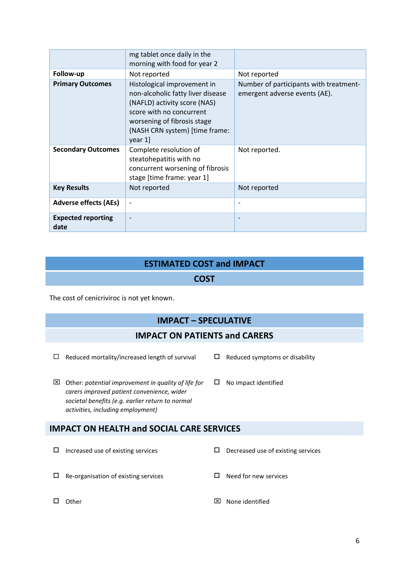|                                   | mg tablet once daily in the<br>morning with food for year 2                                                                                                                                              |                                                                         |  |
|-----------------------------------|----------------------------------------------------------------------------------------------------------------------------------------------------------------------------------------------------------|-------------------------------------------------------------------------|--|
| Follow-up                         | Not reported                                                                                                                                                                                             | Not reported                                                            |  |
| <b>Primary Outcomes</b>           | Histological improvement in<br>non-alcoholic fatty liver disease<br>(NAFLD) activity score (NAS)<br>score with no concurrent<br>worsening of fibrosis stage<br>(NASH CRN system) [time frame:<br>year 1] | Number of participants with treatment-<br>emergent adverse events (AE). |  |
| <b>Secondary Outcomes</b>         | Complete resolution of<br>steatohepatitis with no<br>concurrent worsening of fibrosis<br>stage [time frame: year 1]                                                                                      | Not reported.                                                           |  |
| <b>Key Results</b>                | Not reported                                                                                                                                                                                             | Not reported                                                            |  |
| <b>Adverse effects (AEs)</b>      |                                                                                                                                                                                                          |                                                                         |  |
| <b>Expected reporting</b><br>date |                                                                                                                                                                                                          |                                                                         |  |

# **ESTIMATED COST and IMPACT**

# **COST**

The cost of cenicriviroc is not yet known.

# **IMPACT – SPECULATIVE**

# **IMPACT ON PATIENTS and CARERS**

- $\Box$  Reduced mortality/increased length of survival  $\Box$  Reduced symptoms or disability
	-
- Other*: potential improvement in quality of life for carers improved patient convenience, wider societal benefits (e.g. earlier return to normal activities, including employment)* □ No impact identified

# **IMPACT ON HEALTH and SOCIAL CARE SERVICES**

| ⊔        | Increased use of existing services   |     | Decreased use of existing services |
|----------|--------------------------------------|-----|------------------------------------|
| <u>ы</u> | Re-organisation of existing services |     | Need for new services              |
|          | :Cher                                | l×l | None identified                    |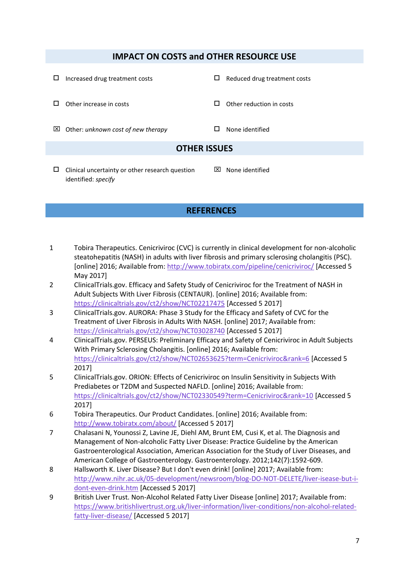# **IMPACT ON COSTS and OTHER RESOURCE USE**

- $\Box$  Increased drug treatment costs  $\Box$  Reduced drug treatment costs  $\Box$  Other increase in costs  $\Box$  Other reduction in costs Other: *unknown cost of new therapy* None identified **OTHER ISSUES**  $\boxtimes$  None identified
- $\square$  Clinical uncertainty or other research question identified: *specify*

# **REFERENCES**

- 1 Tobira Therapeutics. Cenicriviroc (CVC) is currently in clinical development for non-alcoholic steatohepatitis (NASH) in adults with liver fibrosis and primary sclerosing cholangitis (PSC). [online] 2016; Available from:<http://www.tobiratx.com/pipeline/cenicriviroc/> [Accessed 5 May 2017]
- 2 ClinicalTrials.gov. Efficacy and Safety Study of Cenicriviroc for the Treatment of NASH in Adult Subjects With Liver Fibrosis (CENTAUR). [online] 2016; Available from: <https://clinicaltrials.gov/ct2/show/NCT02217475> [Accessed 5 2017]
- 3 ClinicalTrials.gov. AURORA: Phase 3 Study for the Efficacy and Safety of CVC for the Treatment of Liver Fibrosis in Adults With NASH. [online] 2017; Available from: <https://clinicaltrials.gov/ct2/show/NCT03028740> [Accessed 5 2017]
- 4 ClinicalTrials.gov. PERSEUS: Preliminary Efficacy and Safety of Cenicriviroc in Adult Subjects With Primary Sclerosing Cholangitis. [online] 2016; Available from: <https://clinicaltrials.gov/ct2/show/NCT02653625?term=Cenicriviroc&rank=6> [Accessed 5 2017]
- 5 ClinicalTrials.gov. ORION: Effects of Cenicriviroc on Insulin Sensitivity in Subjects With Prediabetes or T2DM and Suspected NAFLD. [online] 2016; Available from: <https://clinicaltrials.gov/ct2/show/NCT02330549?term=Cenicriviroc&rank=10> [Accessed 5 2017]
- 6 Tobira Therapeutics. Our Product Candidates. [online] 2016; Available from: <http://www.tobiratx.com/about/> [Accessed 5 2017]
- 7 Chalasani N, Younossi Z, Lavine JE, Diehl AM, Brunt EM, Cusi K, et al. The Diagnosis and Management of Non-alcoholic Fatty Liver Disease: Practice Guideline by the American Gastroenterological Association, American Association for the Study of Liver Diseases, and American College of Gastroenterology. Gastroenterology. 2012;142(7):1592-609.
- 8 Hallsworth K. Liver Disease? But I don't even drink! [online] 2017; Available from: [http://www.nihr.ac.uk/05-development/newsroom/blog-DO-NOT-DELETE/liver-isease-but-i](http://www.nihr.ac.uk/05-development/newsroom/blog-DO-NOT-DELETE/liver-isease-but-i-dont-even-drink.htm)[dont-even-drink.htm](http://www.nihr.ac.uk/05-development/newsroom/blog-DO-NOT-DELETE/liver-isease-but-i-dont-even-drink.htm) [Accessed 5 2017]
- 9 British Liver Trust. Non-Alcohol Related Fatty Liver Disease [online] 2017; Available from: [https://www.britishlivertrust.org.uk/liver-information/liver-conditions/non-alcohol-related](https://www.britishlivertrust.org.uk/liver-information/liver-conditions/non-alcohol-related-fatty-liver-disease/)[fatty-liver-disease/](https://www.britishlivertrust.org.uk/liver-information/liver-conditions/non-alcohol-related-fatty-liver-disease/) [Accessed 5 2017]